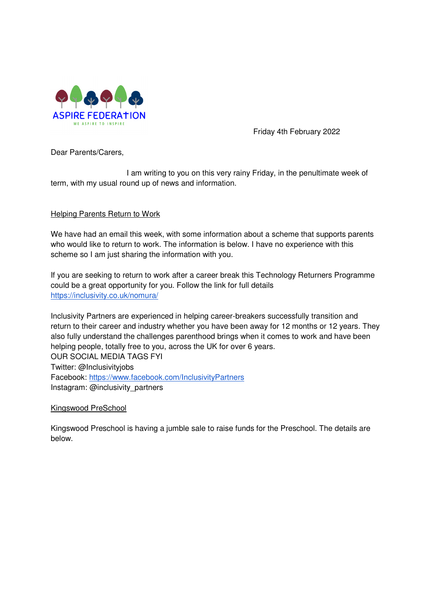

Friday 4th February 2022

Dear Parents/Carers,

 I am writing to you on this very rainy Friday, in the penultimate week of term, with my usual round up of news and information.

# Helping Parents Return to Work

We have had an email this week, with some information about a scheme that supports parents who would like to return to work. The information is below. I have no experience with this scheme so I am just sharing the information with you.

If you are seeking to return to work after a career break this Technology Returners Programme could be a great opportunity for you. Follow the link for full details https://inclusivity.co.uk/nomura/

Inclusivity Partners are experienced in helping career-breakers successfully transition and return to their career and industry whether you have been away for 12 months or 12 years. They also fully understand the challenges parenthood brings when it comes to work and have been helping people, totally free to you, across the UK for over 6 years. OUR SOCIAL MEDIA TAGS FYI Twitter: @Inclusivityjobs Facebook: https://www.facebook.com/InclusivityPartners Instagram: @inclusivity\_partners

### Kingswood PreSchool

Kingswood Preschool is having a jumble sale to raise funds for the Preschool. The details are below.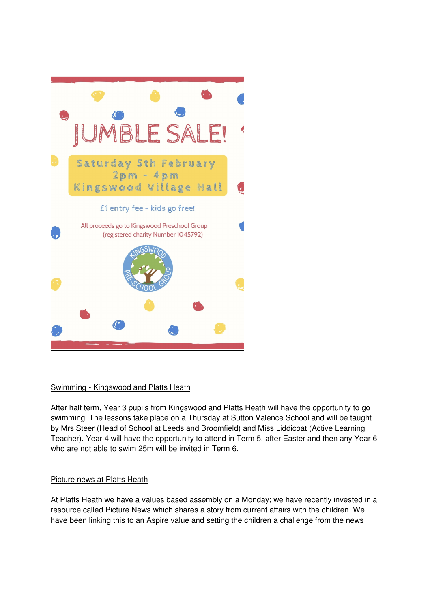

# Swimming - Kingswood and Platts Heath

After half term, Year 3 pupils from Kingswood and Platts Heath will have the opportunity to go swimming. The lessons take place on a Thursday at Sutton Valence School and will be taught by Mrs Steer (Head of School at Leeds and Broomfield) and Miss Liddicoat (Active Learning Teacher). Year 4 will have the opportunity to attend in Term 5, after Easter and then any Year 6 who are not able to swim 25m will be invited in Term 6.

# Picture news at Platts Heath

At Platts Heath we have a values based assembly on a Monday; we have recently invested in a resource called Picture News which shares a story from current affairs with the children. We have been linking this to an Aspire value and setting the children a challenge from the news